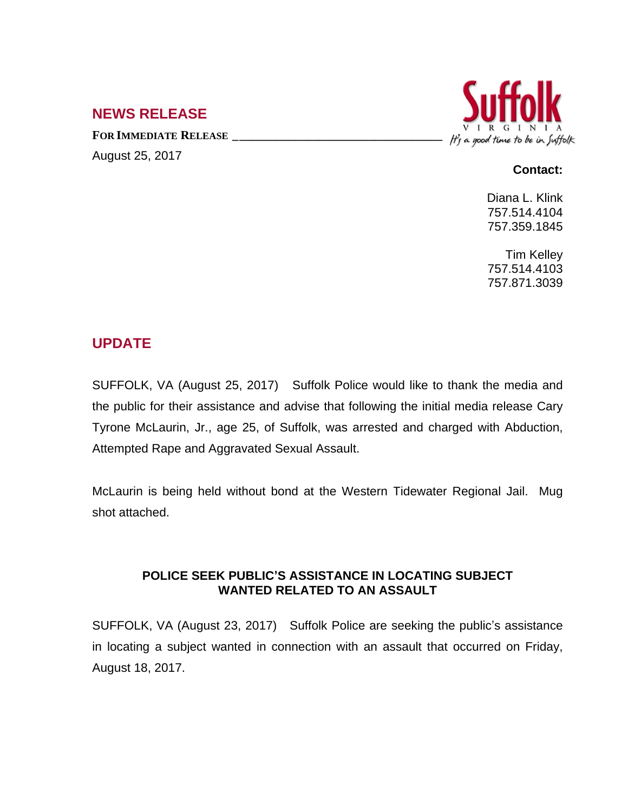## **NEWS RELEASE**

**FOR IMMEDIATE RELEASE \_\_\_\_\_\_\_\_\_\_\_\_\_\_\_\_\_\_\_\_\_\_\_\_\_\_\_\_\_\_\_\_\_\_**

August 25, 2017



## **Contact:**

Diana L. Klink 757.514.4104 757.359.1845

Tim Kelley 757.514.4103 757.871.3039

## **UPDATE**

SUFFOLK, VA (August 25, 2017) Suffolk Police would like to thank the media and the public for their assistance and advise that following the initial media release Cary Tyrone McLaurin, Jr., age 25, of Suffolk, was arrested and charged with Abduction, Attempted Rape and Aggravated Sexual Assault.

McLaurin is being held without bond at the Western Tidewater Regional Jail. Mug shot attached.

## **POLICE SEEK PUBLIC'S ASSISTANCE IN LOCATING SUBJECT WANTED RELATED TO AN ASSAULT**

SUFFOLK, VA (August 23, 2017) Suffolk Police are seeking the public's assistance in locating a subject wanted in connection with an assault that occurred on Friday, August 18, 2017.